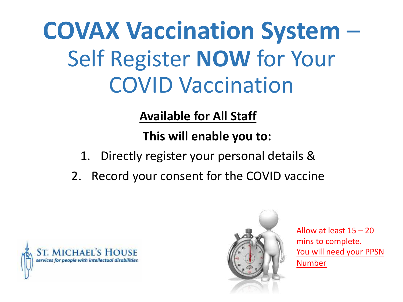**COVAX Vaccination System** – Self Register **NOW** for Your COVID Vaccination

**Available for All Staff** 

**This will enable you to:**

- 1. Directly register your personal details &
- 2. Record your consent for the COVID vaccine





Allow at least 15 – 20 mins to complete. You will need your PPSN Number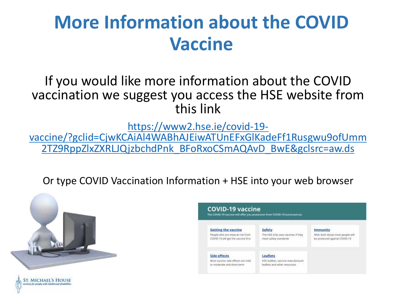# **More Information about the COVID Vaccine**

### If you would like more information about the COVID vaccination we suggest you access the HSE website from this link

https://www2.hse.ie/covid-19-<br>[vaccine/?gclid=CjwKCAiAl4WABhAJEiwATUnEFxGlKadeFf1Rusgwu9ofUmm](https://www2.hse.ie/covid-19-vaccine/?gclid=CjwKCAiAl4WABhAJEiwATUnEFxGlKadeFf1Rusgwu9ofUmm2TZ9RppZlxZXRLJQjzbchdPnk_BFoRxoCSmAQAvD_BwE&gclsrc=aw.ds) 2TZ9RppZlxZXRLJQjzbchdPnk\_BFoRxoCSmAQAvD\_BwE&gclsrc=aw.ds

Or type COVID Vaccination Information + HSE into your web browser



*ST. MICHAEL'S HOUSE* 

| <b>Getting the vaccine</b>                                              | Safety                                                      | <b>Immunity</b>                                                    |
|-------------------------------------------------------------------------|-------------------------------------------------------------|--------------------------------------------------------------------|
| People who are most at risk from<br>COVID-19 will get the vaccine first | The HSE only uses vaccines if they<br>meet safety standards | After both doses most people will<br>be protected against COVID-19 |
|                                                                         |                                                             |                                                                    |
| <b>Side effects</b>                                                     | Leaflets                                                    |                                                                    |
| Most vaccine side effects are milit                                     | HSE leaflets, vaccine manufacturer                          |                                                                    |
| to moderate and short-term                                              | leatiets and other resources                                |                                                                    |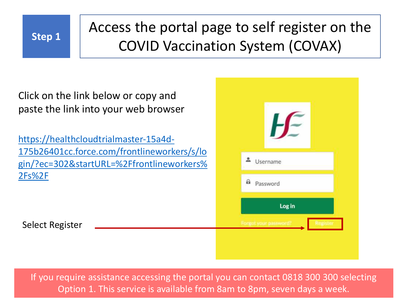

# **Step 1** Access the portal page to self register on the COVID Vaccination System (COVAX)

Click on the link below or copy and paste the link into your web browser

https://healthcloudtrialmaster-15a4d-175b26401cc.force.com/frontlineworkers/s/lo [gin/?ec=302&startURL=%2Ffrontlineworkers%](https://healthcloudtrialmaster-15a4d-175b26401cc.force.com/frontlineworkers/s/login/?ec=302&startURL=%2Ffrontlineworkers%2Fs%2F) 2Fs%2F

Select Register

| Username             |  |
|----------------------|--|
| a password           |  |
| Log in               |  |
| Forgot your password |  |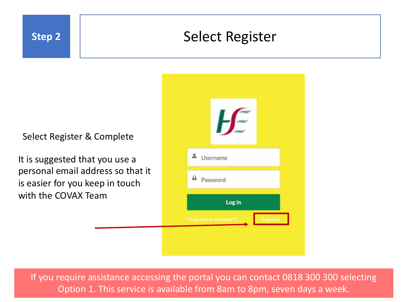

### **Step 2** Select Register

Select Register & Complete

It is suggested that you use a personal email address so that it is easier for you keep in touch with the COVAX Team

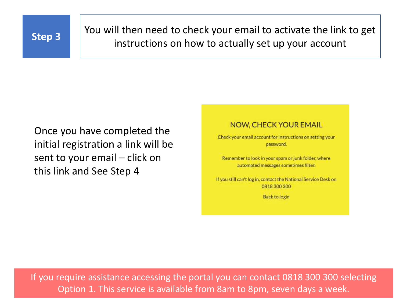

**Step 3** You will then need to check your email to activate the link to get instructions on how to actually set up your account

Once you have completed the initial registration a link will be sent to your email – click on this link and See Step 4

### **NOW, CHECK YOUR EMAIL**

Check your email account for instructions on setting your password.

Remember to look in your spam or junk folder, where automated messages sometimes filter.

If you still can't log in, contact the National Service Desk on 0818 300 300

Back to login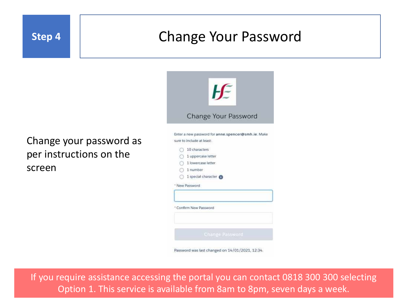

### **Step 4** Change Your Password

### Change your password as per instructions on the screen

| HF                                                 |
|----------------------------------------------------|
| Change Your Password                               |
| Enter a new password for anne spencer@smh.ie. Make |
| sure to include at least.                          |
| 10 characters                                      |
| 1 uppercase letter                                 |
| 1 lowercase letter                                 |
| $\bigcirc$ 1 number                                |
| 1 special character                                |
| New Password                                       |
| Confirm New Password                               |
| Change Password                                    |
| Password was last changed on 14/01/2021, 12:34.    |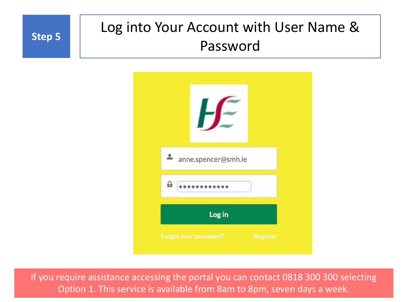

# **Step 5** | Log into Your Account with User Name & Password

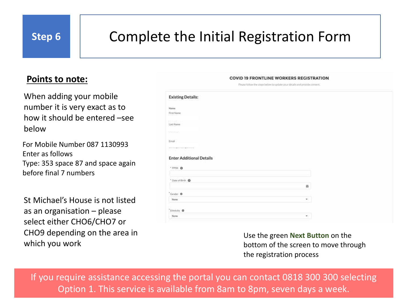# **Step 6** | Complete the Initial Registration Form

### **Points to note:**

When adding your mobile number it is very exact as to how it should be entered –see below

For Mobile Number 087 1130993 Enter as follows Type: 353 space 87 and space again before final 7 numbers

St Michael's House is not listed as an organisation – please select either CHO6/CHO7 or CHO9 depending on the area in which you work

| <b>Existing Details:</b>                    |                           |  |
|---------------------------------------------|---------------------------|--|
| Marne                                       |                           |  |
| FirstName                                   |                           |  |
| <b>SS-196</b> -<br>Last Name                |                           |  |
| 1998-9040                                   |                           |  |
| Email                                       |                           |  |
|                                             |                           |  |
| and the transport of the following and the  |                           |  |
|                                             |                           |  |
|                                             |                           |  |
| <b>Enter Additional Details</b><br>· PPSN 0 |                           |  |
|                                             |                           |  |
| * Date of Write O                           |                           |  |
|                                             | $\overline{\mathfrak{m}}$ |  |
| "Gender O                                   |                           |  |
| Nurie                                       | $\mathbf{w}_i$            |  |
| "Ethelicity . O                             |                           |  |

**COVID 19 FRONTLINE WORKERS REGISTRATION** Piezse follow the steps below to update your details and provide consent

> Use the green **Next Button** on the bottom of the screen to move through the registration process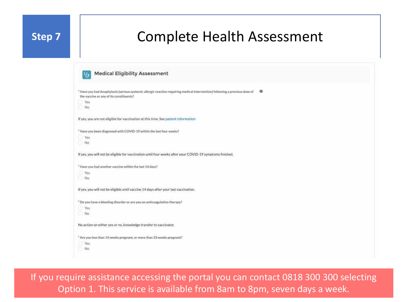### **Step 7** | Complete Health Assessment

| <b>Medical Eligibility Assessment</b>                                                                                                                                  |         |
|------------------------------------------------------------------------------------------------------------------------------------------------------------------------|---------|
| * Have you had Anaphylaxis (serious systemic allergic reaction regulring medical intervention) following a previous dose of<br>the vaccine or any of its constituents? | $\circ$ |
| Yes<br>No.                                                                                                                                                             |         |
|                                                                                                                                                                        |         |
| If yes, you are not eligible for vaccination at this time. See patient information                                                                                     |         |
| * Have you been diagnosed with COVID-19 within the last four weeks?                                                                                                    |         |
| Yes                                                                                                                                                                    |         |
| No                                                                                                                                                                     |         |
| If yes, you will not be eligible for vaccination until four weeks after your COVID-19 symptoms finished.                                                               |         |
| * Have you had another vaccine within the last 14 days?                                                                                                                |         |
| Yes:                                                                                                                                                                   |         |
| No.                                                                                                                                                                    |         |
| If yes, you will not be eligible until vaccine 14 days after your last vaccination.                                                                                    |         |
| * Do you have a bleeding disorder or are you on anticoagulation therapy?                                                                                               |         |
| Yes                                                                                                                                                                    |         |
| No.                                                                                                                                                                    |         |
| No action on either yes or no, knowledge transfer to vaccinator.                                                                                                       |         |
| * Are you less than 14 weeks pregnant, or more than 33 weeks pregnant?                                                                                                 |         |
| Ves                                                                                                                                                                    |         |
| No.                                                                                                                                                                    |         |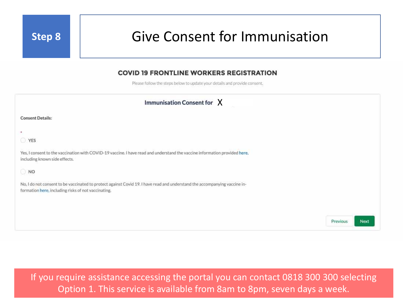### **Step 8** Give Consent for Immunisation

### **COVID 19 FRONTLINE WORKERS REGISTRATION**

Please follow the steps below to update your details and provide consent,

| Immunisation Consent for $\chi$                                                                                                                                                   |          |      |
|-----------------------------------------------------------------------------------------------------------------------------------------------------------------------------------|----------|------|
| <b>Consent Details:</b>                                                                                                                                                           |          |      |
| ٠<br>VES                                                                                                                                                                          |          |      |
| Yes, I consent to the vaccination with COVID-19 vaccine. I have read and understand the vaccine information provided here,<br>including known side effects.                       |          |      |
| $\bigcirc$ NO                                                                                                                                                                     |          |      |
| No, I do not consent to be vaccinated to protect against Covid 19. I have read and understand the accompanying vaccine in-<br>formation here, including risks of not vaccinating. |          |      |
|                                                                                                                                                                                   |          |      |
|                                                                                                                                                                                   | Previous | Next |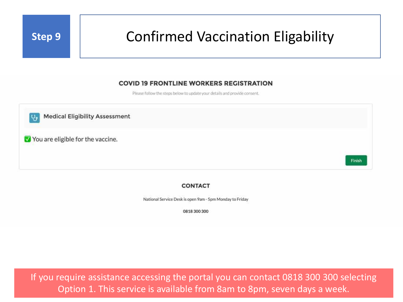## **Step 9** | Confirmed Vaccination Eligability

### **COVID 19 FRONTLINE WORKERS REGISTRATION**

Please follow the steps below to update your details and provide consent.

**Medical Eligibility Assessment** You are eligible for the vaccine. **Finish** 

#### **CONTACT**

National Service Desk is open 9am - 5pm Monday to Friday

0818 300 300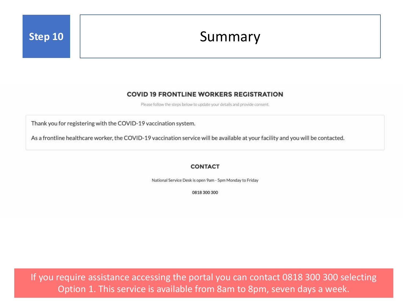## **Step 10** Summary

### **COVID 19 FRONTLINE WORKERS REGISTRATION**

Please follow the steps below to update your details and provide consent.

Thank you for registering with the COVID-19 vaccination system.

As a frontline healthcare worker, the COVID-19 vaccination service will be available at your facility and you will be contacted.

#### **CONTACT**

National Service Desk is open 9am - 5pm Monday to Friday

0818 300 300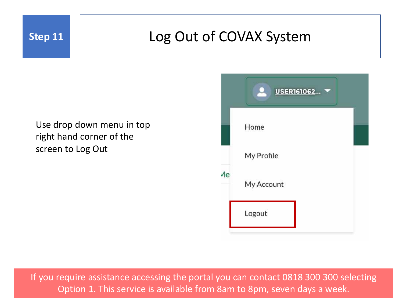## **Step 11** Log Out of COVAX System

### Use drop down menu in top right hand corner of the screen to Log Out

|    | USER161062 |
|----|------------|
|    | Home       |
|    | My Profile |
| Иe | My Account |
|    | Logout     |